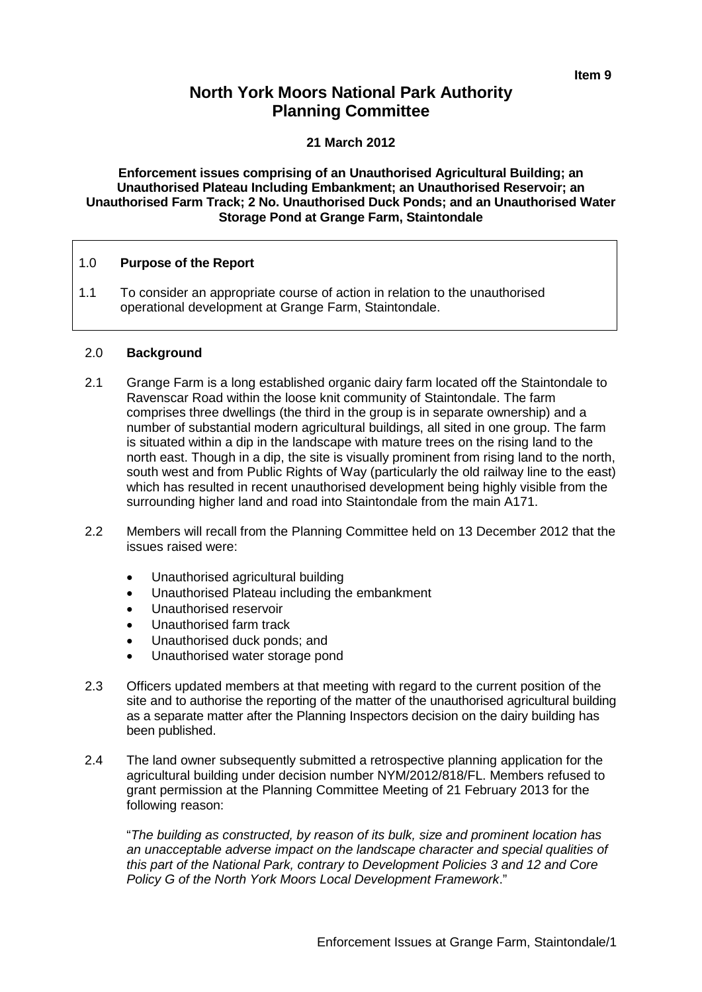# **North York Moors National Park Authority Planning Committee**

#### **21 March 2012**

**Enforcement issues comprising of an Unauthorised Agricultural Building; an Unauthorised Plateau Including Embankment; an Unauthorised Reservoir; an Unauthorised Farm Track; 2 No. Unauthorised Duck Ponds; and an Unauthorised Water Storage Pond at Grange Farm, Staintondale**

## 1.0 **Purpose of the Report**

1.1 To consider an appropriate course of action in relation to the unauthorised operational development at Grange Farm, Staintondale.

#### 2.0 **Background**

- 2.1 Grange Farm is a long established organic dairy farm located off the Staintondale to Ravenscar Road within the loose knit community of Staintondale. The farm comprises three dwellings (the third in the group is in separate ownership) and a number of substantial modern agricultural buildings, all sited in one group. The farm is situated within a dip in the landscape with mature trees on the rising land to the north east. Though in a dip, the site is visually prominent from rising land to the north, south west and from Public Rights of Way (particularly the old railway line to the east) which has resulted in recent unauthorised development being highly visible from the surrounding higher land and road into Staintondale from the main A171.
- 2.2 Members will recall from the Planning Committee held on 13 December 2012 that the issues raised were:
	- Unauthorised agricultural building
	- Unauthorised Plateau including the embankment
	- Unauthorised reservoir
	- Unauthorised farm track
	- Unauthorised duck ponds; and
	- Unauthorised water storage pond
- 2.3 Officers updated members at that meeting with regard to the current position of the site and to authorise the reporting of the matter of the unauthorised agricultural building as a separate matter after the Planning Inspectors decision on the dairy building has been published.
- 2.4 The land owner subsequently submitted a retrospective planning application for the agricultural building under decision number NYM/2012/818/FL. Members refused to grant permission at the Planning Committee Meeting of 21 February 2013 for the following reason:

"*The building as constructed, by reason of its bulk, size and prominent location has an unacceptable adverse impact on the landscape character and special qualities of this part of the National Park, contrary to Development Policies 3 and 12 and Core Policy G of the North York Moors Local Development Framework*."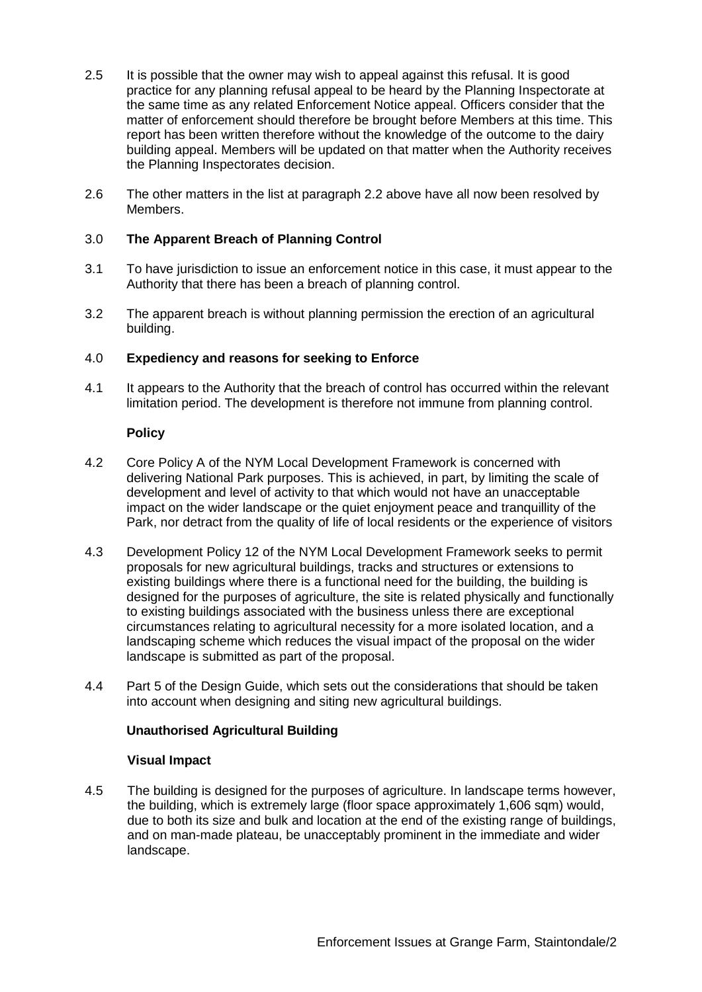- 2.5 It is possible that the owner may wish to appeal against this refusal. It is good practice for any planning refusal appeal to be heard by the Planning Inspectorate at the same time as any related Enforcement Notice appeal. Officers consider that the matter of enforcement should therefore be brought before Members at this time. This report has been written therefore without the knowledge of the outcome to the dairy building appeal. Members will be updated on that matter when the Authority receives the Planning Inspectorates decision.
- 2.6 The other matters in the list at paragraph 2.2 above have all now been resolved by Members.

# 3.0 **The Apparent Breach of Planning Control**

- 3.1 To have jurisdiction to issue an enforcement notice in this case, it must appear to the Authority that there has been a breach of planning control.
- 3.2 The apparent breach is without planning permission the erection of an agricultural building.

## 4.0 **Expediency and reasons for seeking to Enforce**

4.1 It appears to the Authority that the breach of control has occurred within the relevant limitation period. The development is therefore not immune from planning control.

#### **Policy**

- 4.2 Core Policy A of the NYM Local Development Framework is concerned with delivering National Park purposes. This is achieved, in part, by limiting the scale of development and level of activity to that which would not have an unacceptable impact on the wider landscape or the quiet enjoyment peace and tranquillity of the Park, nor detract from the quality of life of local residents or the experience of visitors
- 4.3 Development Policy 12 of the NYM Local Development Framework seeks to permit proposals for new agricultural buildings, tracks and structures or extensions to existing buildings where there is a functional need for the building, the building is designed for the purposes of agriculture, the site is related physically and functionally to existing buildings associated with the business unless there are exceptional circumstances relating to agricultural necessity for a more isolated location, and a landscaping scheme which reduces the visual impact of the proposal on the wider landscape is submitted as part of the proposal.
- 4.4 Part 5 of the Design Guide, which sets out the considerations that should be taken into account when designing and siting new agricultural buildings.

## **Unauthorised Agricultural Building**

#### **Visual Impact**

4.5 The building is designed for the purposes of agriculture. In landscape terms however, the building, which is extremely large (floor space approximately 1,606 sqm) would, due to both its size and bulk and location at the end of the existing range of buildings, and on man-made plateau, be unacceptably prominent in the immediate and wider landscape.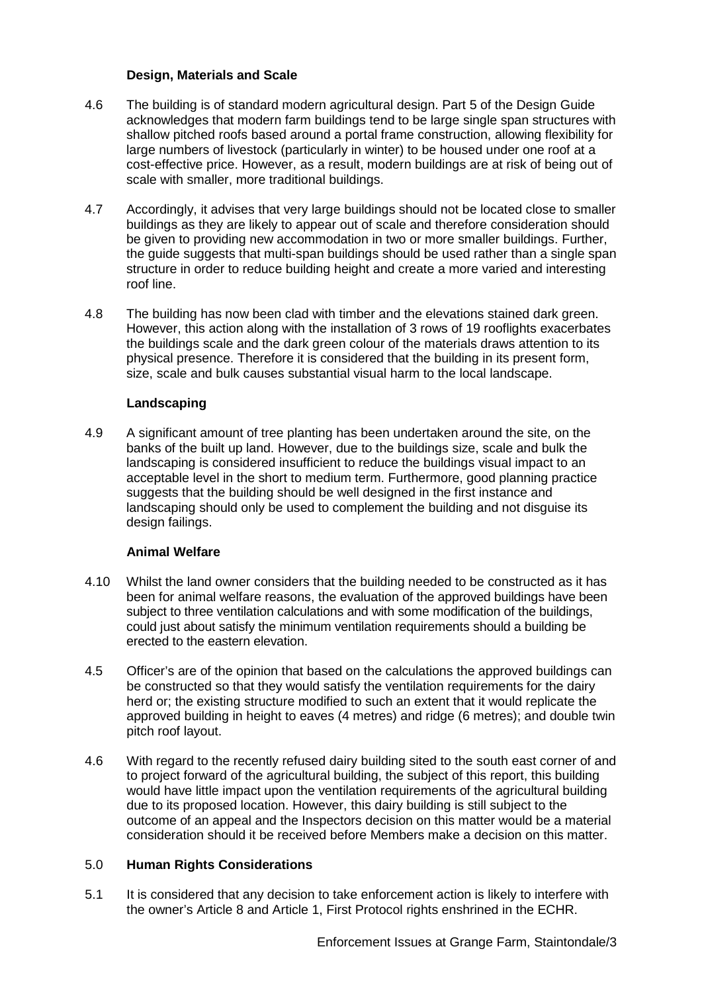## **Design, Materials and Scale**

- 4.6 The building is of standard modern agricultural design. Part 5 of the Design Guide acknowledges that modern farm buildings tend to be large single span structures with shallow pitched roofs based around a portal frame construction, allowing flexibility for large numbers of livestock (particularly in winter) to be housed under one roof at a cost-effective price. However, as a result, modern buildings are at risk of being out of scale with smaller, more traditional buildings.
- 4.7 Accordingly, it advises that very large buildings should not be located close to smaller buildings as they are likely to appear out of scale and therefore consideration should be given to providing new accommodation in two or more smaller buildings. Further, the guide suggests that multi-span buildings should be used rather than a single span structure in order to reduce building height and create a more varied and interesting roof line.
- 4.8 The building has now been clad with timber and the elevations stained dark green. However, this action along with the installation of 3 rows of 19 rooflights exacerbates the buildings scale and the dark green colour of the materials draws attention to its physical presence. Therefore it is considered that the building in its present form, size, scale and bulk causes substantial visual harm to the local landscape.

# **Landscaping**

4.9 A significant amount of tree planting has been undertaken around the site, on the banks of the built up land. However, due to the buildings size, scale and bulk the landscaping is considered insufficient to reduce the buildings visual impact to an acceptable level in the short to medium term. Furthermore, good planning practice suggests that the building should be well designed in the first instance and landscaping should only be used to complement the building and not disguise its design failings.

# **Animal Welfare**

- 4.10 Whilst the land owner considers that the building needed to be constructed as it has been for animal welfare reasons, the evaluation of the approved buildings have been subject to three ventilation calculations and with some modification of the buildings, could just about satisfy the minimum ventilation requirements should a building be erected to the eastern elevation.
- 4.5 Officer's are of the opinion that based on the calculations the approved buildings can be constructed so that they would satisfy the ventilation requirements for the dairy herd or; the existing structure modified to such an extent that it would replicate the approved building in height to eaves (4 metres) and ridge (6 metres); and double twin pitch roof layout.
- 4.6 With regard to the recently refused dairy building sited to the south east corner of and to project forward of the agricultural building, the subject of this report, this building would have little impact upon the ventilation requirements of the agricultural building due to its proposed location. However, this dairy building is still subject to the outcome of an appeal and the Inspectors decision on this matter would be a material consideration should it be received before Members make a decision on this matter.

# 5.0 **Human Rights Considerations**

5.1 It is considered that any decision to take enforcement action is likely to interfere with the owner's Article 8 and Article 1, First Protocol rights enshrined in the ECHR.